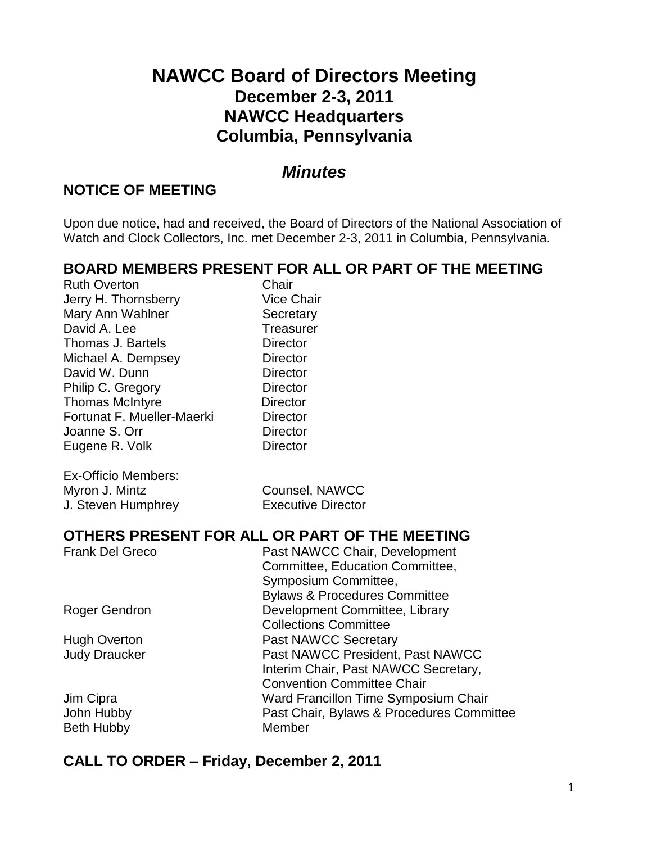# **NAWCC Board of Directors Meeting December 2-3, 2011 NAWCC Headquarters Columbia, Pennsylvania**

#### *Minutes*

#### **NOTICE OF MEETING**

Upon due notice, had and received, the Board of Directors of the National Association of Watch and Clock Collectors, Inc. met December 2-3, 2011 in Columbia, Pennsylvania.

#### **BOARD MEMBERS PRESENT FOR ALL OR PART OF THE MEETING**

Ruth Overton **Chair** Jerry H. Thornsberry Vice Chair Mary Ann Wahlner Secretary David A. Lee Treasurer Thomas J. Bartels **Director** Michael A. Dempsey Director David W. Dunn Director Philip C. Gregory Director Thomas McIntyre **Director** Fortunat F. Mueller-Maerki Director Joanne S. Orr Director Eugene R. Volk Director

| Ex-Officio Members: |  |
|---------------------|--|
| Myron J. Mintz      |  |
| J. Steven Humphrey  |  |

Counsel, NAWCC **Executive Director** 

#### **OTHERS PRESENT FOR ALL OR PART OF THE MEETING**

| Past NAWCC President, Past NAWCC          |
|-------------------------------------------|
| Interim Chair, Past NAWCC Secretary,      |
|                                           |
| Ward Francillon Time Symposium Chair      |
| Past Chair, Bylaws & Procedures Committee |
|                                           |
|                                           |

#### **CALL TO ORDER – Friday, December 2, 2011**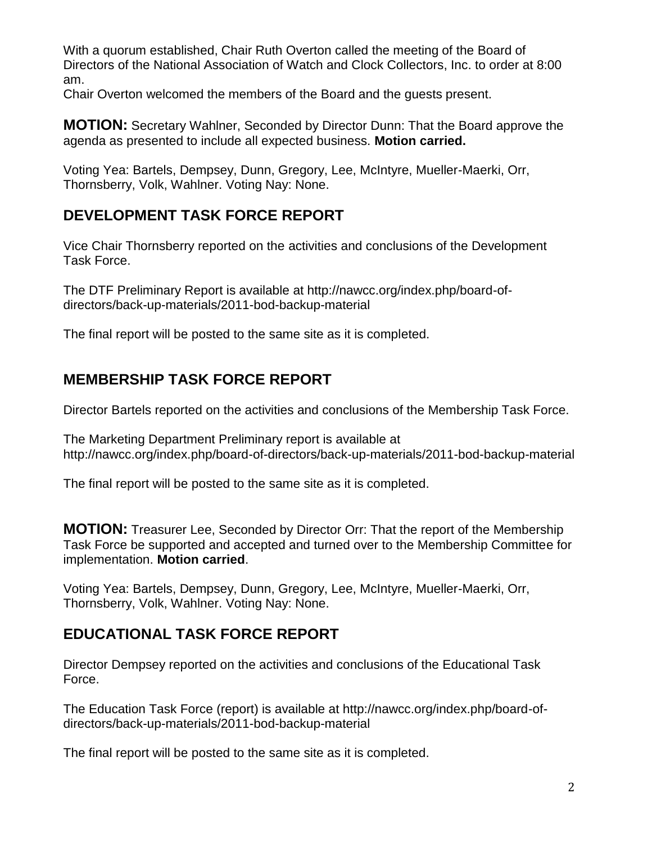With a quorum established, Chair Ruth Overton called the meeting of the Board of Directors of the National Association of Watch and Clock Collectors, Inc. to order at 8:00 am.

Chair Overton welcomed the members of the Board and the guests present.

**MOTION:** Secretary Wahlner, Seconded by Director Dunn: That the Board approve the agenda as presented to include all expected business. **Motion carried.**

Voting Yea: Bartels, Dempsey, Dunn, Gregory, Lee, McIntyre, Mueller-Maerki, Orr, Thornsberry, Volk, Wahlner. Voting Nay: None.

### **DEVELOPMENT TASK FORCE REPORT**

Vice Chair Thornsberry reported on the activities and conclusions of the Development Task Force.

The DTF Preliminary Report is available at http://nawcc.org/index.php/board-ofdirectors/back-up-materials/2011-bod-backup-material

The final report will be posted to the same site as it is completed.

#### **MEMBERSHIP TASK FORCE REPORT**

Director Bartels reported on the activities and conclusions of the Membership Task Force.

The Marketing Department Preliminary report is available at http://nawcc.org/index.php/board-of-directors/back-up-materials/2011-bod-backup-material

The final report will be posted to the same site as it is completed.

**MOTION:** Treasurer Lee, Seconded by Director Orr: That the report of the Membership Task Force be supported and accepted and turned over to the Membership Committee for implementation. **Motion carried**.

Voting Yea: Bartels, Dempsey, Dunn, Gregory, Lee, McIntyre, Mueller-Maerki, Orr, Thornsberry, Volk, Wahlner. Voting Nay: None.

#### **EDUCATIONAL TASK FORCE REPORT**

Director Dempsey reported on the activities and conclusions of the Educational Task Force.

The Education Task Force (report) is available at http://nawcc.org/index.php/board-ofdirectors/back-up-materials/2011-bod-backup-material

The final report will be posted to the same site as it is completed.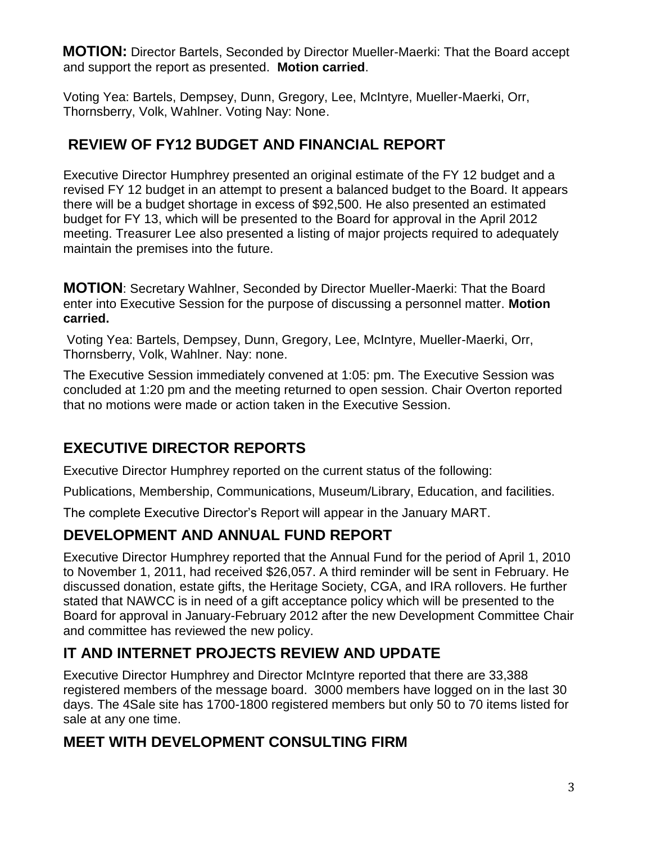**MOTION:** Director Bartels, Seconded by Director Mueller-Maerki: That the Board accept and support the report as presented. **Motion carried**.

Voting Yea: Bartels, Dempsey, Dunn, Gregory, Lee, McIntyre, Mueller-Maerki, Orr, Thornsberry, Volk, Wahlner. Voting Nay: None.

## **REVIEW OF FY12 BUDGET AND FINANCIAL REPORT**

Executive Director Humphrey presented an original estimate of the FY 12 budget and a revised FY 12 budget in an attempt to present a balanced budget to the Board. It appears there will be a budget shortage in excess of \$92,500. He also presented an estimated budget for FY 13, which will be presented to the Board for approval in the April 2012 meeting. Treasurer Lee also presented a listing of major projects required to adequately maintain the premises into the future.

**MOTION**: Secretary Wahlner, Seconded by Director Mueller-Maerki: That the Board enter into Executive Session for the purpose of discussing a personnel matter. **Motion carried.**

Voting Yea: Bartels, Dempsey, Dunn, Gregory, Lee, McIntyre, Mueller-Maerki, Orr, Thornsberry, Volk, Wahlner. Nay: none.

The Executive Session immediately convened at 1:05: pm. The Executive Session was concluded at 1:20 pm and the meeting returned to open session. Chair Overton reported that no motions were made or action taken in the Executive Session.

# **EXECUTIVE DIRECTOR REPORTS**

Executive Director Humphrey reported on the current status of the following:

Publications, Membership, Communications, Museum/Library, Education, and facilities.

The complete Executive Director's Report will appear in the January MART.

# **DEVELOPMENT AND ANNUAL FUND REPORT**

Executive Director Humphrey reported that the Annual Fund for the period of April 1, 2010 to November 1, 2011, had received \$26,057. A third reminder will be sent in February. He discussed donation, estate gifts, the Heritage Society, CGA, and IRA rollovers. He further stated that NAWCC is in need of a gift acceptance policy which will be presented to the Board for approval in January-February 2012 after the new Development Committee Chair and committee has reviewed the new policy.

# **IT AND INTERNET PROJECTS REVIEW AND UPDATE**

Executive Director Humphrey and Director McIntyre reported that there are 33,388 registered members of the message board. 3000 members have logged on in the last 30 days. The 4Sale site has 1700-1800 registered members but only 50 to 70 items listed for sale at any one time.

# **MEET WITH DEVELOPMENT CONSULTING FIRM**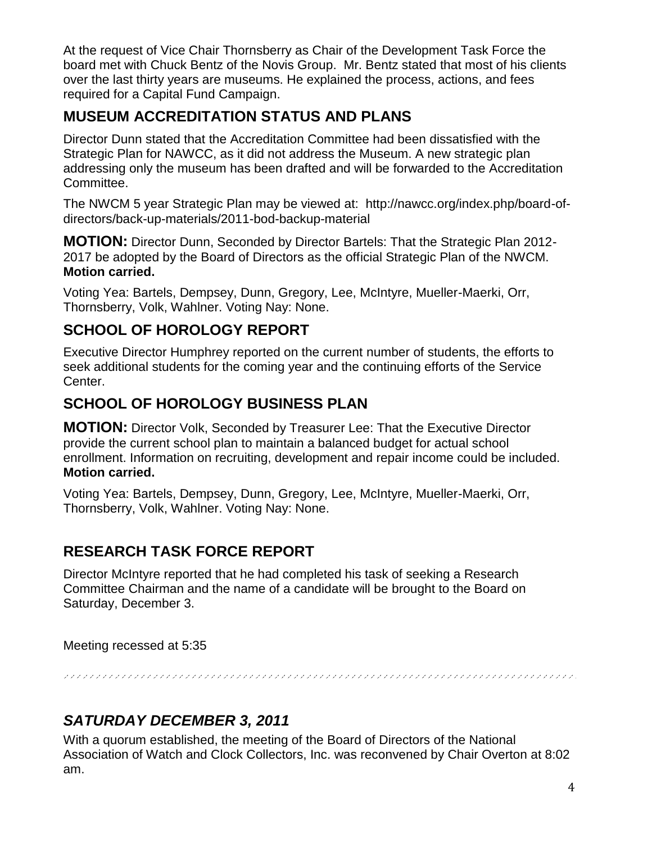At the request of Vice Chair Thornsberry as Chair of the Development Task Force the board met with Chuck Bentz of the Novis Group. Mr. Bentz stated that most of his clients over the last thirty years are museums. He explained the process, actions, and fees required for a Capital Fund Campaign.

#### **MUSEUM ACCREDITATION STATUS AND PLANS**

Director Dunn stated that the Accreditation Committee had been dissatisfied with the Strategic Plan for NAWCC, as it did not address the Museum. A new strategic plan addressing only the museum has been drafted and will be forwarded to the Accreditation Committee.

The NWCM 5 year Strategic Plan may be viewed at: http://nawcc.org/index.php/board-ofdirectors/back-up-materials/2011-bod-backup-material

**MOTION:** Director Dunn, Seconded by Director Bartels: That the Strategic Plan 2012- 2017 be adopted by the Board of Directors as the official Strategic Plan of the NWCM. **Motion carried.**

Voting Yea: Bartels, Dempsey, Dunn, Gregory, Lee, McIntyre, Mueller-Maerki, Orr, Thornsberry, Volk, Wahlner. Voting Nay: None.

### **SCHOOL OF HOROLOGY REPORT**

Executive Director Humphrey reported on the current number of students, the efforts to seek additional students for the coming year and the continuing efforts of the Service Center.

#### **SCHOOL OF HOROLOGY BUSINESS PLAN**

**MOTION:** Director Volk, Seconded by Treasurer Lee: That the Executive Director provide the current school plan to maintain a balanced budget for actual school enrollment. Information on recruiting, development and repair income could be included. **Motion carried.**

Voting Yea: Bartels, Dempsey, Dunn, Gregory, Lee, McIntyre, Mueller-Maerki, Orr, Thornsberry, Volk, Wahlner. Voting Nay: None.

## **RESEARCH TASK FORCE REPORT**

Director McIntyre reported that he had completed his task of seeking a Research Committee Chairman and the name of a candidate will be brought to the Board on Saturday, December 3.

Meeting recessed at 5:35

## *SATURDAY DECEMBER 3, 2011*

With a quorum established, the meeting of the Board of Directors of the National Association of Watch and Clock Collectors, Inc. was reconvened by Chair Overton at 8:02 am.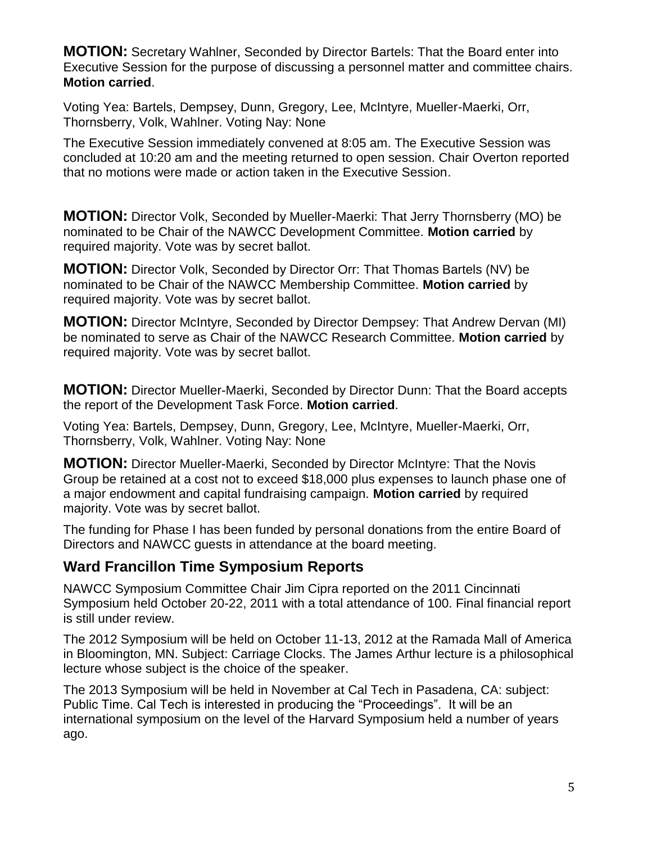**MOTION:** Secretary Wahlner, Seconded by Director Bartels: That the Board enter into Executive Session for the purpose of discussing a personnel matter and committee chairs. **Motion carried**.

Voting Yea: Bartels, Dempsey, Dunn, Gregory, Lee, McIntyre, Mueller-Maerki, Orr, Thornsberry, Volk, Wahlner. Voting Nay: None

The Executive Session immediately convened at 8:05 am. The Executive Session was concluded at 10:20 am and the meeting returned to open session. Chair Overton reported that no motions were made or action taken in the Executive Session.

**MOTION:** Director Volk, Seconded by Mueller-Maerki: That Jerry Thornsberry (MO) be nominated to be Chair of the NAWCC Development Committee. **Motion carried** by required majority. Vote was by secret ballot.

**MOTION:** Director Volk, Seconded by Director Orr: That Thomas Bartels (NV) be nominated to be Chair of the NAWCC Membership Committee. **Motion carried** by required majority. Vote was by secret ballot.

**MOTION:** Director McIntyre, Seconded by Director Dempsey: That Andrew Dervan (MI) be nominated to serve as Chair of the NAWCC Research Committee. **Motion carried** by required majority. Vote was by secret ballot.

**MOTION:** Director Mueller-Maerki, Seconded by Director Dunn: That the Board accepts the report of the Development Task Force. **Motion carried**.

Voting Yea: Bartels, Dempsey, Dunn, Gregory, Lee, McIntyre, Mueller-Maerki, Orr, Thornsberry, Volk, Wahlner. Voting Nay: None

**MOTION:** Director Mueller-Maerki, Seconded by Director McIntyre: That the Novis Group be retained at a cost not to exceed \$18,000 plus expenses to launch phase one of a major endowment and capital fundraising campaign. **Motion carried** by required majority. Vote was by secret ballot.

The funding for Phase I has been funded by personal donations from the entire Board of Directors and NAWCC guests in attendance at the board meeting.

#### **Ward Francillon Time Symposium Reports**

NAWCC Symposium Committee Chair Jim Cipra reported on the 2011 Cincinnati Symposium held October 20-22, 2011 with a total attendance of 100. Final financial report is still under review.

The 2012 Symposium will be held on October 11-13, 2012 at the Ramada Mall of America in Bloomington, MN. Subject: Carriage Clocks. The James Arthur lecture is a philosophical lecture whose subject is the choice of the speaker.

The 2013 Symposium will be held in November at Cal Tech in Pasadena, CA: subject: Public Time. Cal Tech is interested in producing the "Proceedings". It will be an international symposium on the level of the Harvard Symposium held a number of years ago.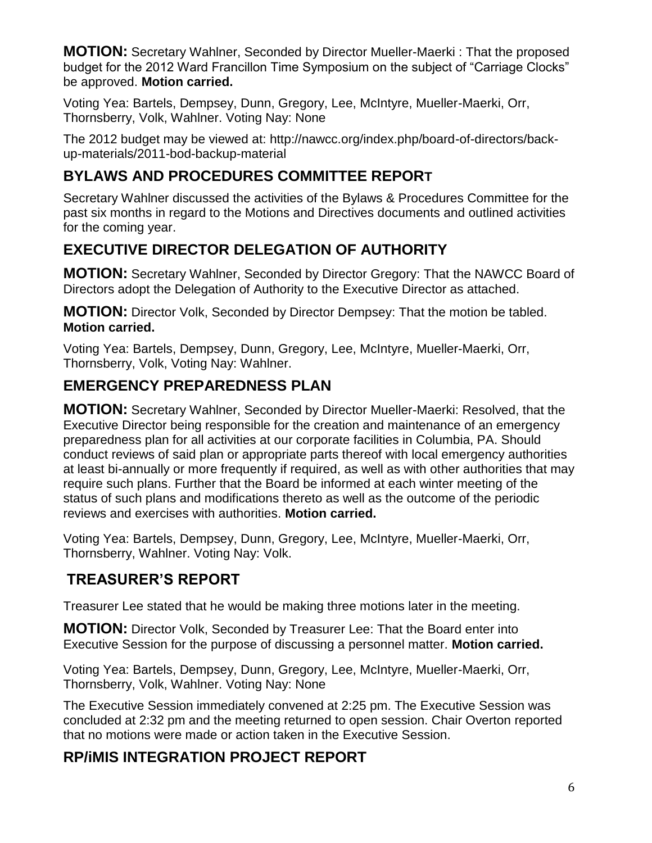**MOTION:** Secretary Wahlner, Seconded by Director Mueller-Maerki : That the proposed budget for the 2012 Ward Francillon Time Symposium on the subject of "Carriage Clocks" be approved. **Motion carried.**

Voting Yea: Bartels, Dempsey, Dunn, Gregory, Lee, McIntyre, Mueller-Maerki, Orr, Thornsberry, Volk, Wahlner. Voting Nay: None

The 2012 budget may be viewed at: http://nawcc.org/index.php/board-of-directors/backup-materials/2011-bod-backup-material

## **BYLAWS AND PROCEDURES COMMITTEE REPORT**

Secretary Wahlner discussed the activities of the Bylaws & Procedures Committee for the past six months in regard to the Motions and Directives documents and outlined activities for the coming year.

# **EXECUTIVE DIRECTOR DELEGATION OF AUTHORITY**

**MOTION:** Secretary Wahlner, Seconded by Director Gregory: That the NAWCC Board of Directors adopt the Delegation of Authority to the Executive Director as attached.

**MOTION:** Director Volk, Seconded by Director Dempsey: That the motion be tabled. **Motion carried.**

Voting Yea: Bartels, Dempsey, Dunn, Gregory, Lee, McIntyre, Mueller-Maerki, Orr, Thornsberry, Volk, Voting Nay: Wahlner.

### **EMERGENCY PREPAREDNESS PLAN**

**MOTION:** Secretary Wahlner, Seconded by Director Mueller-Maerki: Resolved, that the Executive Director being responsible for the creation and maintenance of an emergency preparedness plan for all activities at our corporate facilities in Columbia, PA. Should conduct reviews of said plan or appropriate parts thereof with local emergency authorities at least bi-annually or more frequently if required, as well as with other authorities that may require such plans. Further that the Board be informed at each winter meeting of the status of such plans and modifications thereto as well as the outcome of the periodic reviews and exercises with authorities. **Motion carried.**

Voting Yea: Bartels, Dempsey, Dunn, Gregory, Lee, McIntyre, Mueller-Maerki, Orr, Thornsberry, Wahlner. Voting Nay: Volk.

#### **TREASURER'S REPORT**

Treasurer Lee stated that he would be making three motions later in the meeting.

**MOTION:** Director Volk, Seconded by Treasurer Lee: That the Board enter into Executive Session for the purpose of discussing a personnel matter. **Motion carried.**

Voting Yea: Bartels, Dempsey, Dunn, Gregory, Lee, McIntyre, Mueller-Maerki, Orr, Thornsberry, Volk, Wahlner. Voting Nay: None

The Executive Session immediately convened at 2:25 pm. The Executive Session was concluded at 2:32 pm and the meeting returned to open session. Chair Overton reported that no motions were made or action taken in the Executive Session.

#### **RP/iMIS INTEGRATION PROJECT REPORT**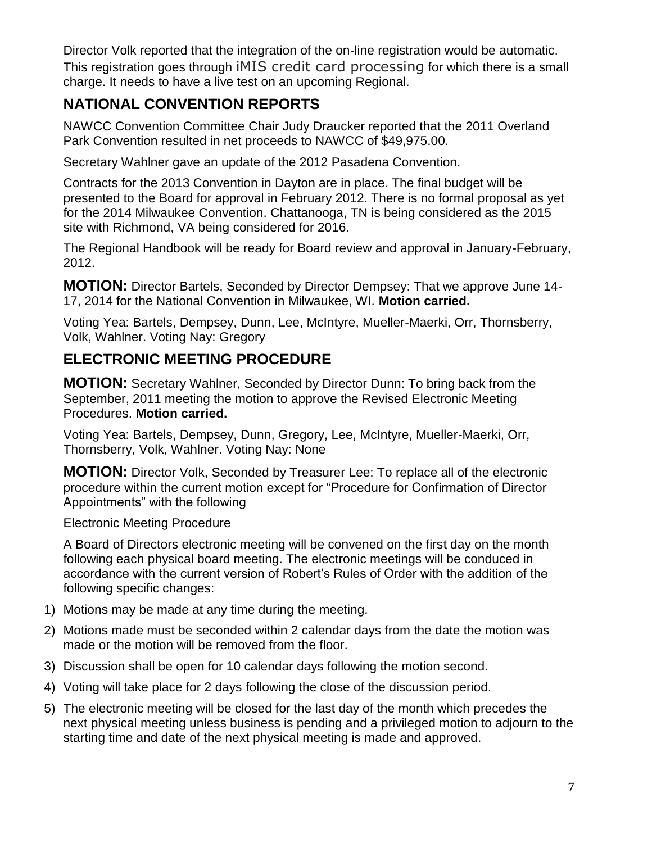Director Volk reported that the integration of the on-line registration would be automatic. This registration goes through iMIS credit card processing for which there is a small charge. It needs to have a live test on an upcoming Regional.

## **NATIONAL CONVENTION REPORTS**

NAWCC Convention Committee Chair Judy Draucker reported that the 2011 Overland Park Convention resulted in net proceeds to NAWCC of \$49,975.00.

Secretary Wahlner gave an update of the 2012 Pasadena Convention.

Contracts for the 2013 Convention in Dayton are in place. The final budget will be presented to the Board for approval in February 2012. There is no formal proposal as yet for the 2014 Milwaukee Convention. Chattanooga, TN is being considered as the 2015 site with Richmond, VA being considered for 2016.

The Regional Handbook will be ready for Board review and approval in January-February, 2012.

**MOTION:** Director Bartels, Seconded by Director Dempsey: That we approve June 14- 17, 2014 for the National Convention in Milwaukee, WI. **Motion carried.**

Voting Yea: Bartels, Dempsey, Dunn, Lee, McIntyre, Mueller-Maerki, Orr, Thornsberry, Volk, Wahlner. Voting Nay: Gregory

### **ELECTRONIC MEETING PROCEDURE**

**MOTION:** Secretary Wahlner, Seconded by Director Dunn: To bring back from the September, 2011 meeting the motion to approve the Revised Electronic Meeting Procedures. **Motion carried.**

Voting Yea: Bartels, Dempsey, Dunn, Gregory, Lee, McIntyre, Mueller-Maerki, Orr, Thornsberry, Volk, Wahlner. Voting Nay: None

**MOTION:** Director Volk, Seconded by Treasurer Lee: To replace all of the electronic procedure within the current motion except for "Procedure for Confirmation of Director Appointments" with the following

Electronic Meeting Procedure

A Board of Directors electronic meeting will be convened on the first day on the month following each physical board meeting. The electronic meetings will be conduced in accordance with the current version of Robert's Rules of Order with the addition of the following specific changes:

- 1) Motions may be made at any time during the meeting.
- 2) Motions made must be seconded within 2 calendar days from the date the motion was made or the motion will be removed from the floor.
- 3) Discussion shall be open for 10 calendar days following the motion second.
- 4) Voting will take place for 2 days following the close of the discussion period.
- 5) The electronic meeting will be closed for the last day of the month which precedes the next physical meeting unless business is pending and a privileged motion to adjourn to the starting time and date of the next physical meeting is made and approved.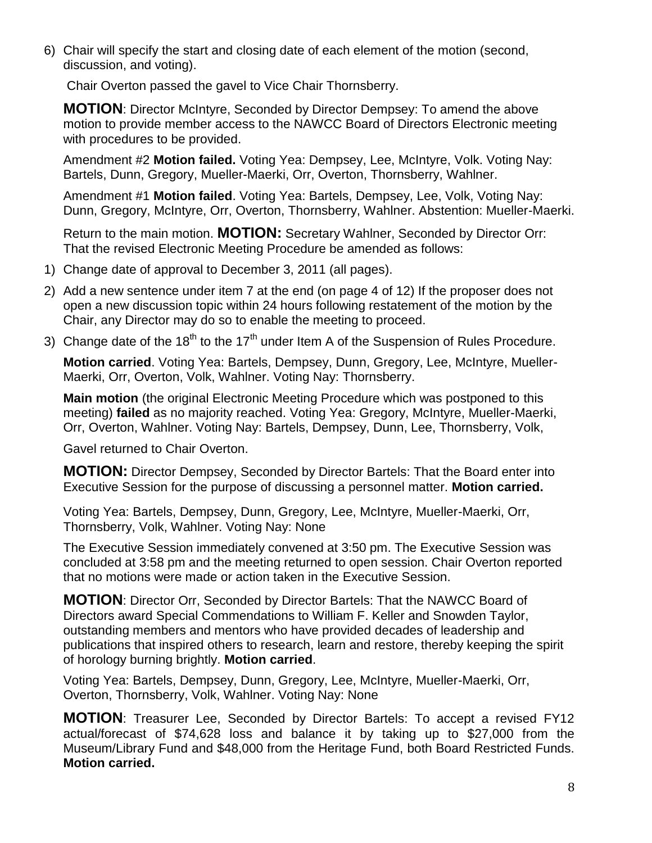6) Chair will specify the start and closing date of each element of the motion (second, discussion, and voting).

Chair Overton passed the gavel to Vice Chair Thornsberry.

**MOTION**: Director McIntyre, Seconded by Director Dempsey: To amend the above motion to provide member access to the NAWCC Board of Directors Electronic meeting with procedures to be provided.

Amendment #2 **Motion failed.** Voting Yea: Dempsey, Lee, McIntyre, Volk. Voting Nay: Bartels, Dunn, Gregory, Mueller-Maerki, Orr, Overton, Thornsberry, Wahlner.

Amendment #1 **Motion failed**. Voting Yea: Bartels, Dempsey, Lee, Volk, Voting Nay: Dunn, Gregory, McIntyre, Orr, Overton, Thornsberry, Wahlner. Abstention: Mueller-Maerki.

Return to the main motion. **MOTION:** Secretary Wahlner, Seconded by Director Orr: That the revised Electronic Meeting Procedure be amended as follows:

- 1) Change date of approval to December 3, 2011 (all pages).
- 2) Add a new sentence under item 7 at the end (on page 4 of 12) If the proposer does not open a new discussion topic within 24 hours following restatement of the motion by the Chair, any Director may do so to enable the meeting to proceed.
- 3) Change date of the  $18<sup>th</sup>$  to the  $17<sup>th</sup>$  under Item A of the Suspension of Rules Procedure.

**Motion carried**. Voting Yea: Bartels, Dempsey, Dunn, Gregory, Lee, McIntyre, Mueller-Maerki, Orr, Overton, Volk, Wahlner. Voting Nay: Thornsberry.

**Main motion** (the original Electronic Meeting Procedure which was postponed to this meeting) **failed** as no majority reached. Voting Yea: Gregory, McIntyre, Mueller-Maerki, Orr, Overton, Wahlner. Voting Nay: Bartels, Dempsey, Dunn, Lee, Thornsberry, Volk,

Gavel returned to Chair Overton.

**MOTION:** Director Dempsey, Seconded by Director Bartels: That the Board enter into Executive Session for the purpose of discussing a personnel matter. **Motion carried.**

Voting Yea: Bartels, Dempsey, Dunn, Gregory, Lee, McIntyre, Mueller-Maerki, Orr, Thornsberry, Volk, Wahlner. Voting Nay: None

The Executive Session immediately convened at 3:50 pm. The Executive Session was concluded at 3:58 pm and the meeting returned to open session. Chair Overton reported that no motions were made or action taken in the Executive Session.

**MOTION**: Director Orr, Seconded by Director Bartels: That the NAWCC Board of Directors award Special Commendations to William F. Keller and Snowden Taylor, outstanding members and mentors who have provided decades of leadership and publications that inspired others to research, learn and restore, thereby keeping the spirit of horology burning brightly. **Motion carried**.

Voting Yea: Bartels, Dempsey, Dunn, Gregory, Lee, McIntyre, Mueller-Maerki, Orr, Overton, Thornsberry, Volk, Wahlner. Voting Nay: None

**MOTION**: Treasurer Lee, Seconded by Director Bartels: To accept a revised FY12 actual/forecast of \$74,628 loss and balance it by taking up to \$27,000 from the Museum/Library Fund and \$48,000 from the Heritage Fund, both Board Restricted Funds. **Motion carried.**